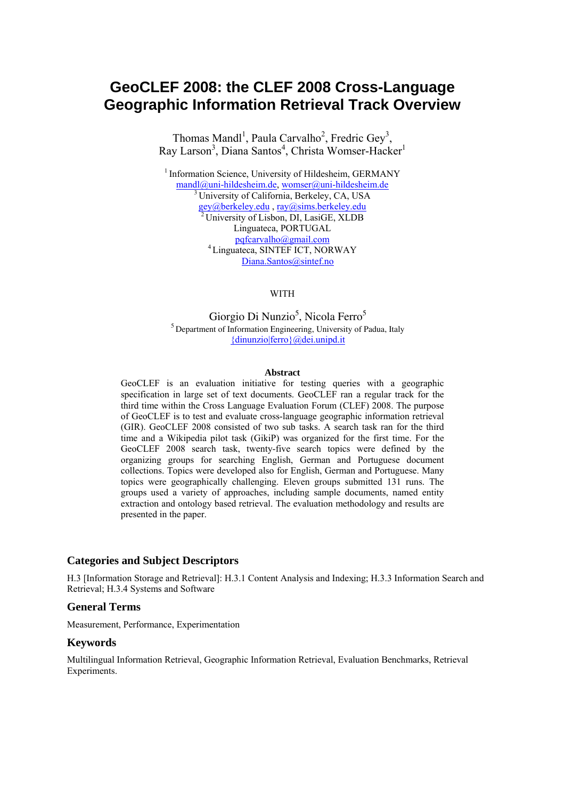# **GeoCLEF 2008: the CLEF 2008 Cross-Language Geographic Information Retrieval Track Overview**

Thomas Mandl<sup>1</sup>, Paula Carvalho<sup>2</sup>, Fredric Gey<sup>3</sup>, Ray Larson<sup>3</sup>, Diana Santos<sup>4</sup>, Christa Womser-Hacker<sup>1</sup>

<sup>1</sup> Information Science, University of Hildesheim, GERMANY mandl@uni-hildesheim.de, womser@uni-hildesheim.de 3 University of California, Berkeley, CA, USA gey@berkeley.edu , ray@sims.berkeley.edu 2 University of Lisbon, DI, LasiGE, XLDB Linguateca, PORTUGAL pqfcarvalho@gmail.com 4 Linguateca, SINTEF ICT, NORWAY Diana.Santos@sintef.no

WITH

Giorgio Di Nunzio<sup>5</sup>, Nicola Ferro<sup>5</sup> 5 Department of Information Engineering, University of Padua, Italy {dinunzio|ferro}@dei.unipd.it

#### **Abstract**

GeoCLEF is an evaluation initiative for testing queries with a geographic specification in large set of text documents. GeoCLEF ran a regular track for the third time within the Cross Language Evaluation Forum (CLEF) 2008. The purpose of GeoCLEF is to test and evaluate cross-language geographic information retrieval (GIR). GeoCLEF 2008 consisted of two sub tasks. A search task ran for the third time and a Wikipedia pilot task (GikiP) was organized for the first time. For the GeoCLEF 2008 search task, twenty-five search topics were defined by the organizing groups for searching English, German and Portuguese document collections. Topics were developed also for English, German and Portuguese. Many topics were geographically challenging. Eleven groups submitted 131 runs. The groups used a variety of approaches, including sample documents, named entity extraction and ontology based retrieval. The evaluation methodology and results are presented in the paper.

#### **Categories and Subject Descriptors**

H.3 [Information Storage and Retrieval]: H.3.1 Content Analysis and Indexing; H.3.3 Information Search and Retrieval; H.3.4 Systems and Software

#### **General Terms**

Measurement, Performance, Experimentation

#### **Keywords**

Multilingual Information Retrieval, Geographic Information Retrieval, Evaluation Benchmarks, Retrieval Experiments.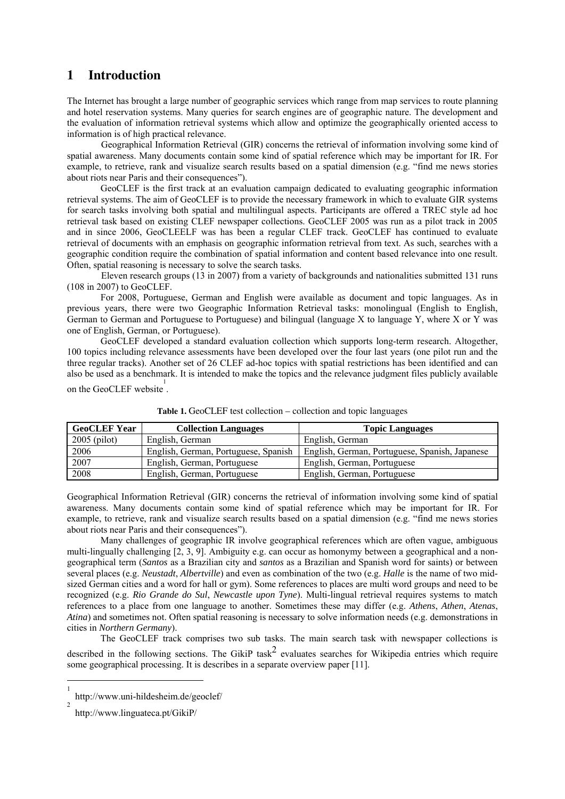## **1 Introduction**

The Internet has brought a large number of geographic services which range from map services to route planning and hotel reservation systems. Many queries for search engines are of geographic nature. The development and the evaluation of information retrieval systems which allow and optimize the geographically oriented access to information is of high practical relevance.

Geographical Information Retrieval (GIR) concerns the retrieval of information involving some kind of spatial awareness. Many documents contain some kind of spatial reference which may be important for IR. For example, to retrieve, rank and visualize search results based on a spatial dimension (e.g. "find me news stories about riots near Paris and their consequences").

 GeoCLEF is the first track at an evaluation campaign dedicated to evaluating geographic information retrieval systems. The aim of GeoCLEF is to provide the necessary framework in which to evaluate GIR systems for search tasks involving both spatial and multilingual aspects. Participants are offered a TREC style ad hoc retrieval task based on existing CLEF newspaper collections. GeoCLEF 2005 was run as a pilot track in 2005 and in since 2006, GeoCLEELF was has been a regular CLEF track. GeoCLEF has continued to evaluate retrieval of documents with an emphasis on geographic information retrieval from text. As such, searches with a geographic condition require the combination of spatial information and content based relevance into one result. Often, spatial reasoning is necessary to solve the search tasks.

Eleven research groups (13 in 2007) from a variety of backgrounds and nationalities submitted 131 runs (108 in 2007) to GeoCLEF.

For 2008, Portuguese, German and English were available as document and topic languages. As in previous years, there were two Geographic Information Retrieval tasks: monolingual (English to English, German to German and Portuguese to Portuguese) and bilingual (language X to language Y, where X or Y was one of English, German, or Portuguese).

GeoCLEF developed a standard evaluation collection which supports long-term research. Altogether, 100 topics including relevance assessments have been developed over the four last years (one pilot run and the three regular tracks). Another set of 26 CLEF ad-hoc topics with spatial restrictions has been identified and can also be used as a benchmark. It is intended to make the topics and the relevance judgment files publicly available on the GeoCLEF website  $\frac{1}{1}$ .

| <b>GeoCLEF Year</b> | <b>Collection Languages</b>          | <b>Topic Languages</b>                         |
|---------------------|--------------------------------------|------------------------------------------------|
| $2005$ (pilot)      | English, German                      | English, German                                |
| 2006                | English, German, Portuguese, Spanish | English, German, Portuguese, Spanish, Japanese |
| 2007                | English, German, Portuguese          | English, German, Portuguese                    |
| 2008                | English, German, Portuguese          | English, German, Portuguese                    |

**Table 1.** GeoCLEF test collection – collection and topic languages

Geographical Information Retrieval (GIR) concerns the retrieval of information involving some kind of spatial awareness. Many documents contain some kind of spatial reference which may be important for IR. For example, to retrieve, rank and visualize search results based on a spatial dimension (e.g. "find me news stories about riots near Paris and their consequences").

Many challenges of geographic IR involve geographical references which are often vague, ambiguous multi-lingually challenging [2, 3, 9]. Ambiguity e.g. can occur as homonymy between a geographical and a nongeographical term (*Santos* as a Brazilian city and *santos* as a Brazilian and Spanish word for saints) or between several places (e.g. *Neustadt, Albertville*) and even as combination of the two (e.g. *Halle* is the name of two midsized German cities and a word for hall or gym). Some references to places are multi word groups and need to be recognized (e.g. *Rio Grande do Sul*, *Newcastle upon Tyne*). Multi-lingual retrieval requires systems to match references to a place from one language to another. Sometimes these may differ (e.g. *Athens*, *Athen*, *Atenas*, *Atina*) and sometimes not. Often spatial reasoning is necessary to solve information needs (e.g. demonstrations in cities in *Northern Germany*).

The GeoCLEF track comprises two sub tasks. The main search task with newspaper collections is described in the following sections. The GikiP task<sup>2</sup> evaluates searches for Wikipedia entries which require some geographical processing. It is describes in a separate overview paper [11].

<sup>|&</sup>lt;br>|<br>| http://www.uni-hildesheim.de/geoclef/

<sup>2</sup> http://www.linguateca.pt/GikiP/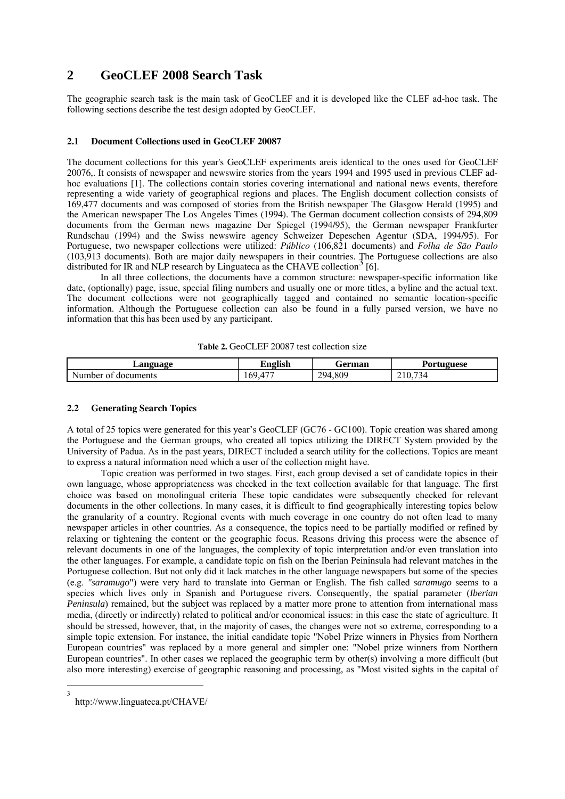## **2 GeoCLEF 2008 Search Task**

The geographic search task is the main task of GeoCLEF and it is developed like the CLEF ad-hoc task. The following sections describe the test design adopted by GeoCLEF.

#### **2.1 Document Collections used in GeoCLEF 20087**

The document collections for this year's GeoCLEF experiments areis identical to the ones used for GeoCLEF 20076,. It consists of newspaper and newswire stories from the years 1994 and 1995 used in previous CLEF adhoc evaluations [1]. The collections contain stories covering international and national news events, therefore representing a wide variety of geographical regions and places. The English document collection consists of 169,477 documents and was composed of stories from the British newspaper The Glasgow Herald (1995) and the American newspaper The Los Angeles Times (1994). The German document collection consists of 294,809 documents from the German news magazine Der Spiegel (1994/95), the German newspaper Frankfurter Rundschau (1994) and the Swiss newswire agency Schweizer Depeschen Agentur (SDA, 1994/95). For Portuguese, two newspaper collections were utilized: *Público* (106,821 documents) and *Folha de São Paulo* (103,913 documents). Both are major daily newspapers in their countries. The Portuguese collections are also distributed for IR and NLP research by Linguateca as the CHAVE collection<sup>3</sup> [6].

In all three collections, the documents have a common structure: newspaper-specific information like date, (optionally) page, issue, special filing numbers and usually one or more titles, a byline and the actual text. The document collections were not geographically tagged and contained no semantic location-specific information. Although the Portuguese collection can also be found in a fully parsed version, we have no information that this has been used by any participant.

| Table 2. GeoCLEF 20087 test collection size |
|---------------------------------------------|
|---------------------------------------------|

| Language                                    | . .<br>$\mathbf{r}$<br>English | ÷erman       | $\mathbf{r}$<br>:tuguese<br>Por                   |
|---------------------------------------------|--------------------------------|--------------|---------------------------------------------------|
| $\sim$ $\sim$<br>documents<br>Number<br>-of | $1 - 1$<br>60<br>∪             | 294.<br>.809 | $\overline{\phantom{a}}$<br>210.<br>$\Delta$<br>◡ |

#### **2.2 Generating Search Topics**

A total of 25 topics were generated for this year's GeoCLEF (GC76 - GC100). Topic creation was shared among the Portuguese and the German groups, who created all topics utilizing the DIRECT System provided by the University of Padua. As in the past years, DIRECT included a search utility for the collections. Topics are meant to express a natural information need which a user of the collection might have.

Topic creation was performed in two stages. First, each group devised a set of candidate topics in their own language, whose appropriateness was checked in the text collection available for that language. The first choice was based on monolingual criteria These topic candidates were subsequently checked for relevant documents in the other collections. In many cases, it is difficult to find geographically interesting topics below the granularity of a country. Regional events with much coverage in one country do not often lead to many newspaper articles in other countries. As a consequence, the topics need to be partially modified or refined by relaxing or tightening the content or the geographic focus. Reasons driving this process were the absence of relevant documents in one of the languages, the complexity of topic interpretation and/or even translation into the other languages. For example, a candidate topic on fish on the Iberian Peininsula had relevant matches in the Portuguese collection. But not only did it lack matches in the other language newspapers but some of the species (e.g. *"saramugo*") were very hard to translate into German or English. The fish called *saramugo* seems to a species which lives only in Spanish and Portuguese rivers. Consequently, the spatial parameter (*Iberian Peninsula*) remained, but the subject was replaced by a matter more prone to attention from international mass media, (directly or indirectly) related to political and/or economical issues: in this case the state of agriculture. It should be stressed, however, that, in the majority of cases, the changes were not so extreme, corresponding to a simple topic extension. For instance, the initial candidate topic "Nobel Prize winners in Physics from Northern European countries" was replaced by a more general and simpler one: "Nobel prize winners from Northern European countries". In other cases we replaced the geographic term by other(s) involving a more difficult (but also more interesting) exercise of geographic reasoning and processing, as "Most visited sights in the capital of

 $\frac{1}{3}$ 

http://www.linguateca.pt/CHAVE/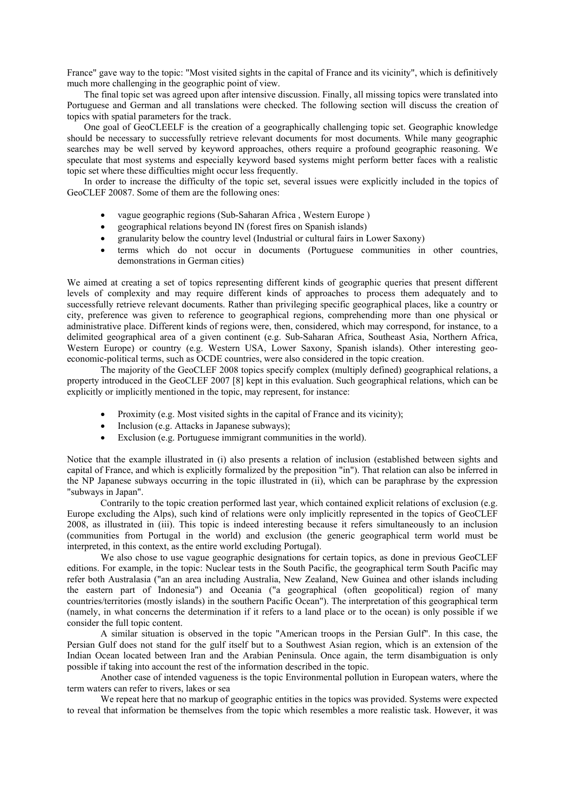France" gave way to the topic: "Most visited sights in the capital of France and its vicinity", which is definitively much more challenging in the geographic point of view.

The final topic set was agreed upon after intensive discussion. Finally, all missing topics were translated into Portuguese and German and all translations were checked. The following section will discuss the creation of topics with spatial parameters for the track.

One goal of GeoCLEELF is the creation of a geographically challenging topic set. Geographic knowledge should be necessary to successfully retrieve relevant documents for most documents. While many geographic searches may be well served by keyword approaches, others require a profound geographic reasoning. We speculate that most systems and especially keyword based systems might perform better faces with a realistic topic set where these difficulties might occur less frequently.

In order to increase the difficulty of the topic set, several issues were explicitly included in the topics of GeoCLEF 20087. Some of them are the following ones:

- vague geographic regions (Sub-Saharan Africa , Western Europe )
- geographical relations beyond IN (forest fires on Spanish islands)
- granularity below the country level (Industrial or cultural fairs in Lower Saxony)
- terms which do not occur in documents (Portuguese communities in other countries, demonstrations in German cities)

We aimed at creating a set of topics representing different kinds of geographic queries that present different levels of complexity and may require different kinds of approaches to process them adequately and to successfully retrieve relevant documents. Rather than privileging specific geographical places, like a country or city, preference was given to reference to geographical regions, comprehending more than one physical or administrative place. Different kinds of regions were, then, considered, which may correspond, for instance, to a delimited geographical area of a given continent (e.g. Sub-Saharan Africa, Southeast Asia, Northern Africa, Western Europe) or country (e.g. Western USA, Lower Saxony, Spanish islands). Other interesting geoeconomic-political terms, such as OCDE countries, were also considered in the topic creation.

The majority of the GeoCLEF 2008 topics specify complex (multiply defined) geographical relations, a property introduced in the GeoCLEF 2007 [8] kept in this evaluation. Such geographical relations, which can be explicitly or implicitly mentioned in the topic, may represent, for instance:

- Proximity (e.g. Most visited sights in the capital of France and its vicinity);
- Inclusion (e.g. Attacks in Japanese subways);
- Exclusion (e.g. Portuguese immigrant communities in the world).

Notice that the example illustrated in (i) also presents a relation of inclusion (established between sights and capital of France, and which is explicitly formalized by the preposition "in"). That relation can also be inferred in the NP Japanese subways occurring in the topic illustrated in (ii), which can be paraphrase by the expression "subways in Japan".

Contrarily to the topic creation performed last year, which contained explicit relations of exclusion (e.g. Europe excluding the Alps), such kind of relations were only implicitly represented in the topics of GeoCLEF 2008, as illustrated in (iii). This topic is indeed interesting because it refers simultaneously to an inclusion (communities from Portugal in the world) and exclusion (the generic geographical term world must be interpreted, in this context, as the entire world excluding Portugal).

We also chose to use vague geographic designations for certain topics, as done in previous GeoCLEF editions. For example, in the topic: Nuclear tests in the South Pacific, the geographical term South Pacific may refer both Australasia ("an an area including Australia, New Zealand, New Guinea and other islands including the eastern part of Indonesia") and Oceania ("a geographical (often geopolitical) region of many countries/territories (mostly islands) in the southern Pacific Ocean"). The interpretation of this geographical term (namely, in what concerns the determination if it refers to a land place or to the ocean) is only possible if we consider the full topic content.

A similar situation is observed in the topic "American troops in the Persian Gulf". In this case, the Persian Gulf does not stand for the gulf itself but to a Southwest Asian region, which is an extension of the Indian Ocean located between Iran and the Arabian Peninsula. Once again, the term disambiguation is only possible if taking into account the rest of the information described in the topic.

Another case of intended vagueness is the topic Environmental pollution in European waters, where the term waters can refer to rivers, lakes or sea

We repeat here that no markup of geographic entities in the topics was provided. Systems were expected to reveal that information be themselves from the topic which resembles a more realistic task. However, it was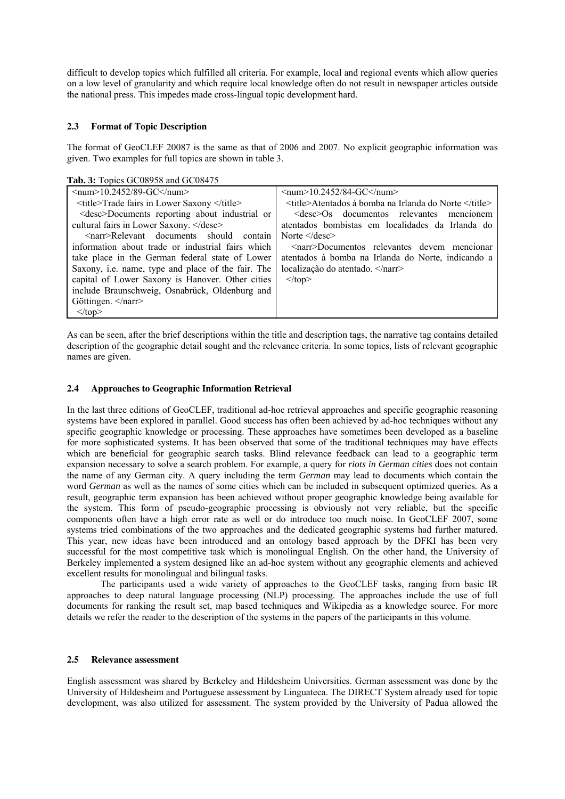difficult to develop topics which fulfilled all criteria. For example, local and regional events which allow queries on a low level of granularity and which require local knowledge often do not result in newspaper articles outside the national press. This impedes made cross-lingual topic development hard.

#### **2.3 Format of Topic Description**

The format of GeoCLEF 20087 is the same as that of 2006 and 2007. No explicit geographic information was given. Two examples for full topics are shown in table 3.

**Tab. 3:** Topics GC08958 and GC08475

| $\le$ num $>$ 10.2452/89-GC $\le$ /num $>$                | $\le$ num $>$ 10.2452/84-GC $\le$ /num $>$               |
|-----------------------------------------------------------|----------------------------------------------------------|
| <title>Trade fairs in Lower Saxony </title>               | <title>Atentados à bomba na Irlanda do Norte </title>    |
| <desc>Documents reporting about industrial or</desc>      | $\leq$ desc $\geq$ Os documentos relevantes<br>mencionem |
| cultural fairs in Lower Saxony.                           | atentados bombistas em localidades da Irlanda do         |
| $\leq$ narr>Relevant documents should<br>contain          | Norte $\leq$ desc $\geq$                                 |
| information about trade or industrial fairs which         | <narr>Documentos relevantes devem mencionar</narr>       |
| take place in the German federal state of Lower           | atentados à bomba na Irlanda do Norte, indicando a       |
| Saxony, <i>i.e.</i> name, type and place of the fair. The | localização do atentado.                                 |
| capital of Lower Saxony is Hanover. Other cities          | $\langle$ top>                                           |
| include Braunschweig, Osnabrück, Oldenburg and            |                                                          |
| Göttingen.                                                |                                                          |
| $\langle$ top>                                            |                                                          |

As can be seen, after the brief descriptions within the title and description tags, the narrative tag contains detailed description of the geographic detail sought and the relevance criteria. In some topics, lists of relevant geographic names are given.

#### **2.4 Approaches to Geographic Information Retrieval**

In the last three editions of GeoCLEF, traditional ad-hoc retrieval approaches and specific geographic reasoning systems have been explored in parallel. Good success has often been achieved by ad-hoc techniques without any specific geographic knowledge or processing. These approaches have sometimes been developed as a baseline for more sophisticated systems. It has been observed that some of the traditional techniques may have effects which are beneficial for geographic search tasks. Blind relevance feedback can lead to a geographic term expansion necessary to solve a search problem. For example, a query for *riots in German cities* does not contain the name of any German city. A query including the term *German* may lead to documents which contain the word *German* as well as the names of some cities which can be included in subsequent optimized queries. As a result, geographic term expansion has been achieved without proper geographic knowledge being available for the system. This form of pseudo-geographic processing is obviously not very reliable, but the specific components often have a high error rate as well or do introduce too much noise. In GeoCLEF 2007, some systems tried combinations of the two approaches and the dedicated geographic systems had further matured. This year, new ideas have been introduced and an ontology based approach by the DFKI has been very successful for the most competitive task which is monolingual English. On the other hand, the University of Berkeley implemented a system designed like an ad-hoc system without any geographic elements and achieved excellent results for monolingual and bilingual tasks.

The participants used a wide variety of approaches to the GeoCLEF tasks, ranging from basic IR approaches to deep natural language processing (NLP) processing. The approaches include the use of full documents for ranking the result set, map based techniques and Wikipedia as a knowledge source. For more details we refer the reader to the description of the systems in the papers of the participants in this volume.

#### **2.5 Relevance assessment**

English assessment was shared by Berkeley and Hildesheim Universities. German assessment was done by the University of Hildesheim and Portuguese assessment by Linguateca. The DIRECT System already used for topic development, was also utilized for assessment. The system provided by the University of Padua allowed the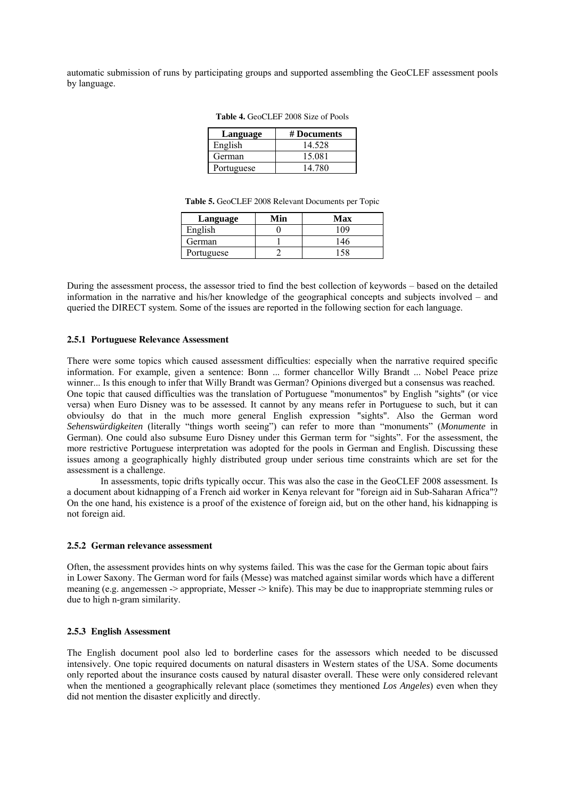automatic submission of runs by participating groups and supported assembling the GeoCLEF assessment pools by language.

| Language   | # Documents |
|------------|-------------|
| English    | 14.528      |
| German     | 15.081      |
| Portuguese | 14 780      |

**Table 4.** GeoCLEF 2008 Size of Pools

|            |     | <b>Table 3.</b> Ocochet 2000 Referant Documents per Topic |
|------------|-----|-----------------------------------------------------------|
| Language   | Min | Max                                                       |
| English    |     | 109                                                       |
| German     |     | 146                                                       |
| Portuguese |     | 158                                                       |

**Table 5.** GeoCLEF 2008 Relevant Documents per Topic

During the assessment process, the assessor tried to find the best collection of keywords – based on the detailed information in the narrative and his/her knowledge of the geographical concepts and subjects involved – and queried the DIRECT system. Some of the issues are reported in the following section for each language.

#### **2.5.1 Portuguese Relevance Assessment**

There were some topics which caused assessment difficulties: especially when the narrative required specific information. For example, given a sentence: Bonn ... former chancellor Willy Brandt ... Nobel Peace prize winner... Is this enough to infer that Willy Brandt was German? Opinions diverged but a consensus was reached. One topic that caused difficulties was the translation of Portuguese "monumentos" by English "sights" (or vice versa) when Euro Disney was to be assessed. It cannot by any means refer in Portuguese to such, but it can obvioulsy do that in the much more general English expression "sights". Also the German word *Sehenswürdigkeiten* (literally "things worth seeing") can refer to more than "monuments" (*Monumente* in German). One could also subsume Euro Disney under this German term for "sights". For the assessment, the more restrictive Portuguese interpretation was adopted for the pools in German and English. Discussing these issues among a geographically highly distributed group under serious time constraints which are set for the assessment is a challenge.

In assessments, topic drifts typically occur. This was also the case in the GeoCLEF 2008 assessment. Is a document about kidnapping of a French aid worker in Kenya relevant for "foreign aid in Sub-Saharan Africa"? On the one hand, his existence is a proof of the existence of foreign aid, but on the other hand, his kidnapping is not foreign aid.

#### **2.5.2 German relevance assessment**

Often, the assessment provides hints on why systems failed. This was the case for the German topic about fairs in Lower Saxony. The German word for fails (Messe) was matched against similar words which have a different meaning (e.g. angemessen -> appropriate, Messer -> knife). This may be due to inappropriate stemming rules or due to high n-gram similarity.

#### **2.5.3 English Assessment**

The English document pool also led to borderline cases for the assessors which needed to be discussed intensively. One topic required documents on natural disasters in Western states of the USA. Some documents only reported about the insurance costs caused by natural disaster overall. These were only considered relevant when the mentioned a geographically relevant place (sometimes they mentioned *Los Angeles*) even when they did not mention the disaster explicitly and directly.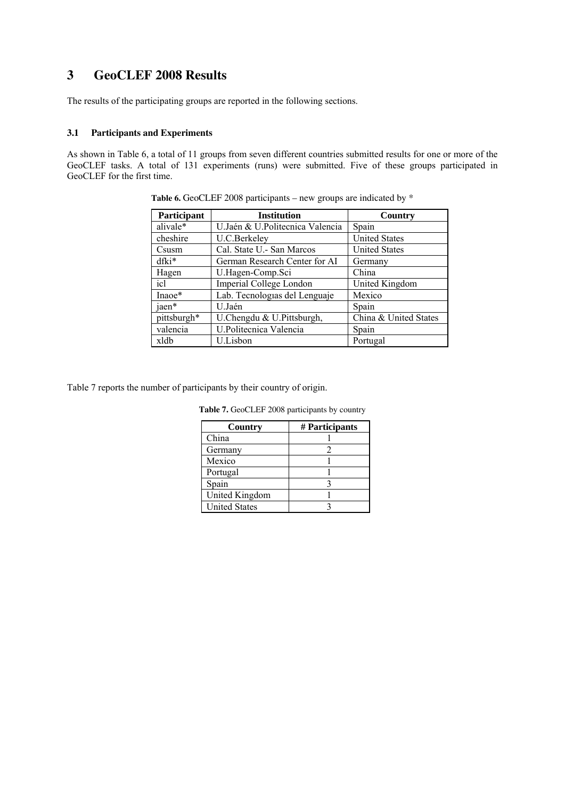# **3 GeoCLEF 2008 Results**

The results of the participating groups are reported in the following sections.

#### **3.1 Participants and Experiments**

As shown in Table 6, a total of 11 groups from seven different countries submitted results for one or more of the GeoCLEF tasks. A total of 131 experiments (runs) were submitted. Five of these groups participated in GeoCLEF for the first time.

| Participant | <b>Institution</b>              | Country               |
|-------------|---------------------------------|-----------------------|
| alivale*    | U.Jaén & U.Politecnica Valencia | Spain                 |
| cheshire    | U.C.Berkeley                    | <b>United States</b>  |
| Csusm       | Cal. State U. - San Marcos      | <b>United States</b>  |
| $dfki*$     | German Research Center for AI   | Germany               |
| Hagen       | U.Hagen-Comp.Sci                | China                 |
| icl         | Imperial College London         | United Kingdom        |
| Inaoe*      | Lab. Tecnologias del Lenguaje   | Mexico                |
| jaen*       | U Jaén                          | Spain                 |
| pittsburgh* | U.Chengdu & U.Pittsburgh,       | China & United States |
| valencia    | U.Politecnica Valencia          | Spain                 |
| xldb        | U.Lisbon                        | Portugal              |

**Table 6.** GeoCLEF 2008 participants – new groups are indicated by \*

Table 7 reports the number of participants by their country of origin.

|  |  |  |  | <b>Table 7.</b> GeoCLEF 2008 participants by country |  |  |
|--|--|--|--|------------------------------------------------------|--|--|
|--|--|--|--|------------------------------------------------------|--|--|

| Country               | # Participants |
|-----------------------|----------------|
| China                 |                |
| Germany               |                |
| Mexico                |                |
| Portugal              |                |
| Spain                 |                |
| <b>United Kingdom</b> |                |
| <b>United States</b>  |                |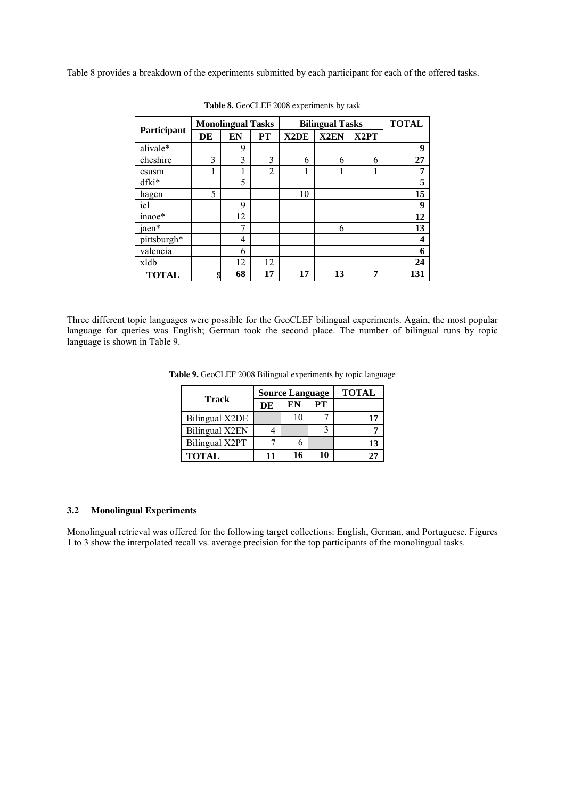Table 8 provides a breakdown of the experiments submitted by each participant for each of the offered tasks.

|              | <b>Monolingual Tasks</b> |    |                |                   | <b>Bilingual Tasks</b> |                   | <b>TOTAL</b> |
|--------------|--------------------------|----|----------------|-------------------|------------------------|-------------------|--------------|
| Participant  | DE                       | EN | PT             | X <sub>2</sub> DE | X <sub>2</sub> EN      | X <sub>2</sub> PT |              |
| alivale*     |                          | 9  |                |                   |                        |                   | 9            |
| cheshire     | 3                        | 3  | 3              | 6                 | 6                      | 6                 | 27           |
| csusm        |                          |    | $\overline{2}$ |                   |                        |                   | 7            |
| dfki*        |                          | 5  |                |                   |                        |                   | 5            |
| hagen        | 5                        |    |                | 10                |                        |                   | 15           |
| icl          |                          | 9  |                |                   |                        |                   | 9            |
| inaoe*       |                          | 12 |                |                   |                        |                   | 12           |
| jaen*        |                          | 7  |                |                   | 6                      |                   | 13           |
| pittsburgh*  |                          | 4  |                |                   |                        |                   | 4            |
| valencia     |                          | 6  |                |                   |                        |                   | 6            |
| xldb         |                          | 12 | 12             |                   |                        |                   | 24           |
| <b>TOTAL</b> |                          | 68 | 17             | 17                | 13                     | 7                 | 131          |

**Table 8.** GeoCLEF 2008 experiments by task

Three different topic languages were possible for the GeoCLEF bilingual experiments. Again, the most popular language for queries was English; German took the second place. The number of bilingual runs by topic language is shown in Table 9.

**Table 9.** GeoCLEF 2008 Bilingual experiments by topic language

|                       |    | <b>Source Language</b> | <b>TOTAL</b> |    |
|-----------------------|----|------------------------|--------------|----|
| Track                 | DE | EN                     | PТ           |    |
| <b>Bilingual X2DE</b> |    |                        |              |    |
| Bilingual X2EN        |    |                        |              |    |
| Bilingual X2PT        |    |                        |              | 13 |
| <b>TOTAL</b>          |    | 16                     | 10           |    |

#### **3.2 Monolingual Experiments**

Monolingual retrieval was offered for the following target collections: English, German, and Portuguese. Figures 1 to 3 show the interpolated recall vs. average precision for the top participants of the monolingual tasks.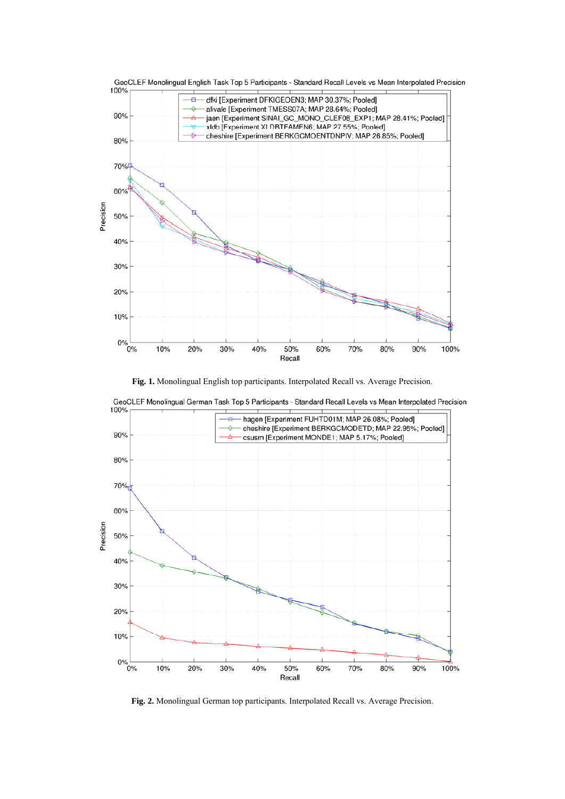

**Fig. 1.** Monolingual English top participants. Interpolated Recall vs. Average Precision.



GeoCLEF Monolingual German Task Top 5 Participants - Standard Recall Levels vs Mean Interpolated Precision

**Fig. 2.** Monolingual German top participants. Interpolated Recall vs. Average Precision.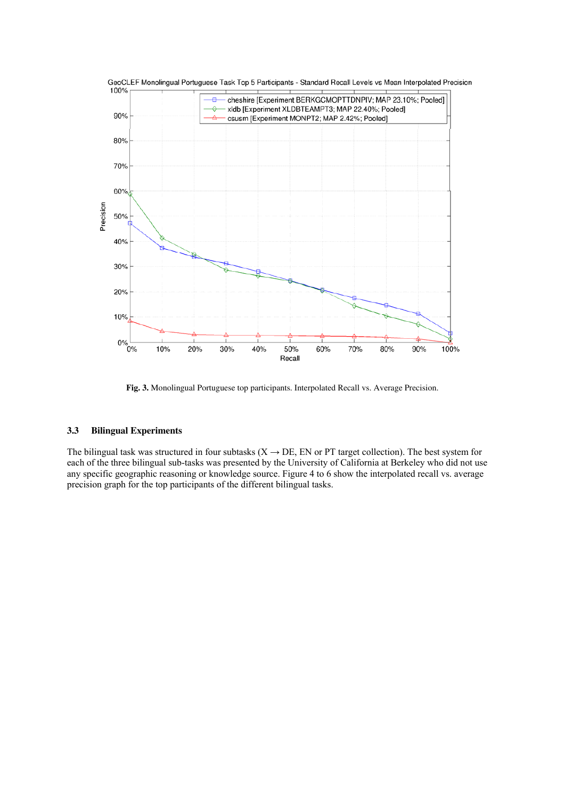

**Fig. 3.** Monolingual Portuguese top participants. Interpolated Recall vs. Average Precision.

#### **3.3 Bilingual Experiments**

The bilingual task was structured in four subtasks  $(X \rightarrow DE, EN)$  or PT target collection). The best system for each of the three bilingual sub-tasks was presented by the University of California at Berkeley who did not use any specific geographic reasoning or knowledge source. Figure 4 to 6 show the interpolated recall vs. average precision graph for the top participants of the different bilingual tasks.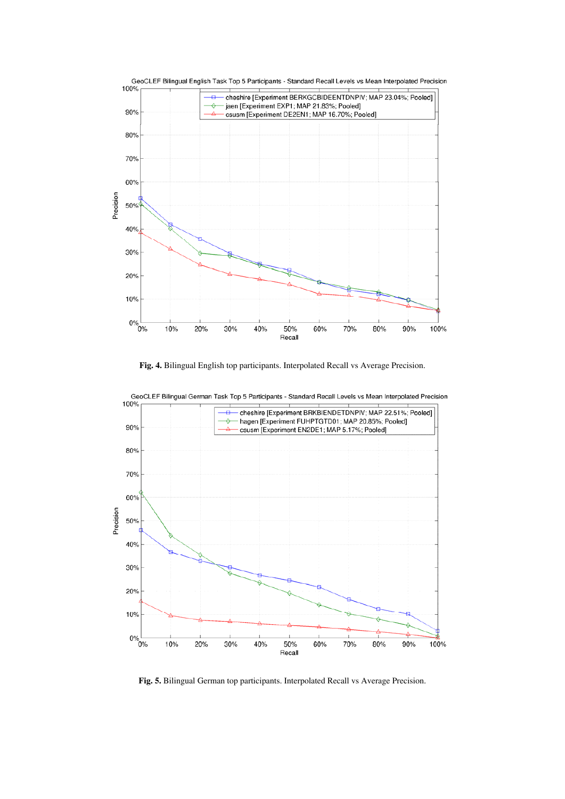

**Fig. 4.** Bilingual English top participants. Interpolated Recall vs Average Precision.



**Fig. 5.** Bilingual German top participants. Interpolated Recall vs Average Precision.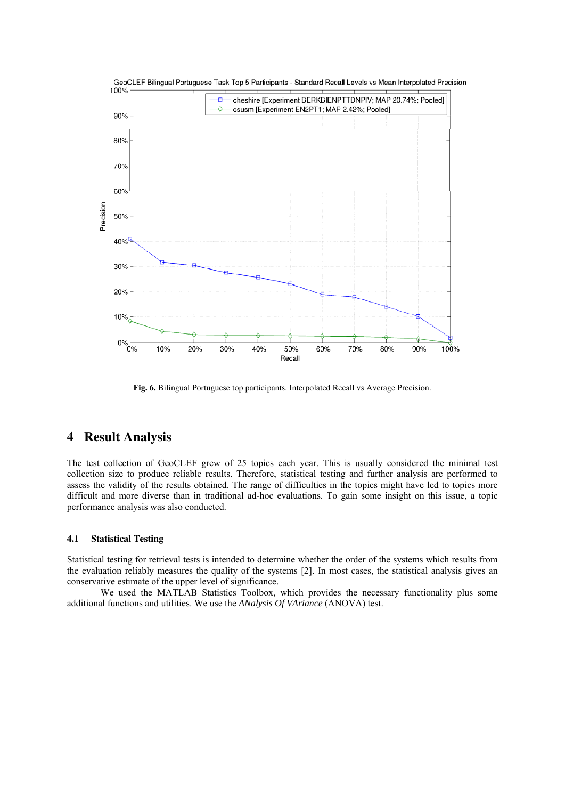

**Fig. 6.** Bilingual Portuguese top participants. Interpolated Recall vs Average Precision.

### **4 Result Analysis**

The test collection of GeoCLEF grew of 25 topics each year. This is usually considered the minimal test collection size to produce reliable results. Therefore, statistical testing and further analysis are performed to assess the validity of the results obtained. The range of difficulties in the topics might have led to topics more difficult and more diverse than in traditional ad-hoc evaluations. To gain some insight on this issue, a topic performance analysis was also conducted.

#### **4.1 Statistical Testing**

Statistical testing for retrieval tests is intended to determine whether the order of the systems which results from the evaluation reliably measures the quality of the systems [2]. In most cases, the statistical analysis gives an conservative estimate of the upper level of significance.

We used the MATLAB Statistics Toolbox, which provides the necessary functionality plus some additional functions and utilities. We use the *ANalysis Of VAriance* (ANOVA) test.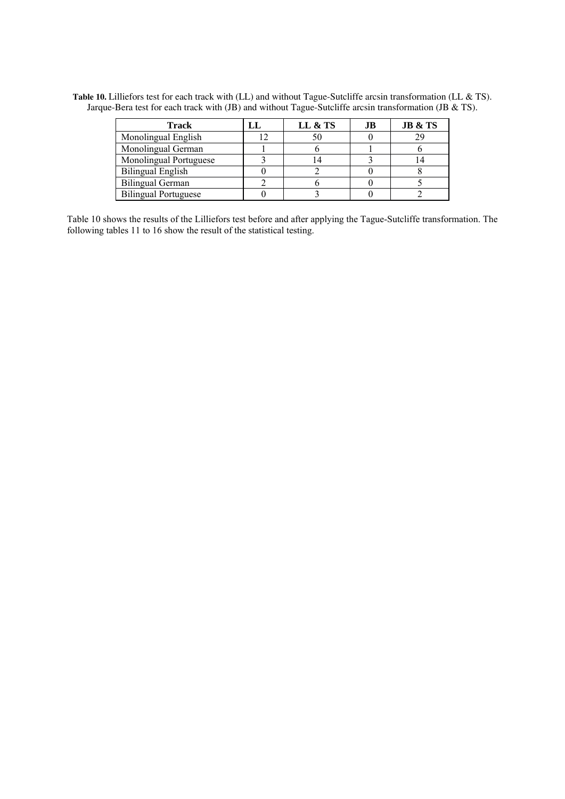| <b>Track</b>                | LL | LL & TS | .IB | <b>JB &amp; TS</b> |
|-----------------------------|----|---------|-----|--------------------|
| Monolingual English         |    | 50      |     | 29                 |
| Monolingual German          |    |         |     |                    |
| Monolingual Portuguese      |    |         |     |                    |
| <b>Bilingual English</b>    |    |         |     |                    |
| <b>Bilingual German</b>     |    |         |     |                    |
| <b>Bilingual Portuguese</b> |    |         |     |                    |

**Table 10.** Lilliefors test for each track with (LL) and without Tague-Sutcliffe arcsin transformation (LL & TS). Jarque-Bera test for each track with (JB) and without Tague-Sutcliffe arcsin transformation (JB & TS).

Table 10 shows the results of the Lilliefors test before and after applying the Tague-Sutcliffe transformation. The following tables 11 to 16 show the result of the statistical testing.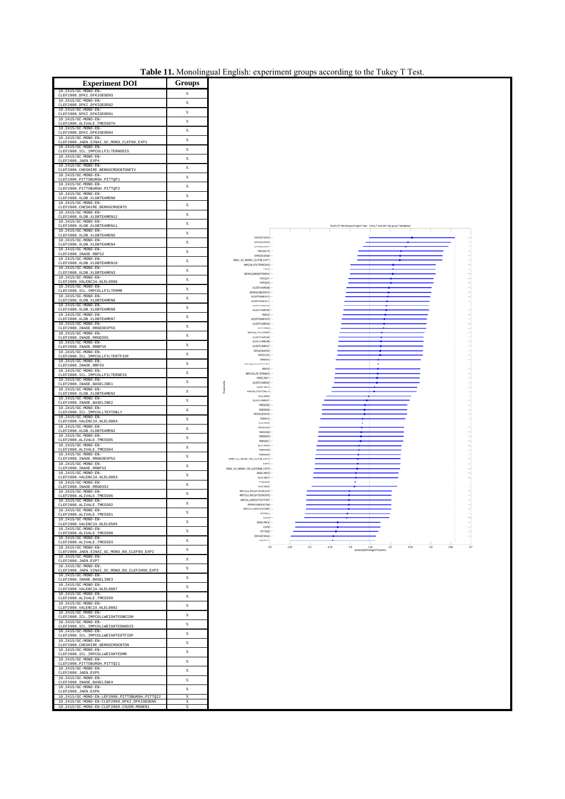| Table 11. Monolingual English: experiment groups according to the Tukey T Test. |  |  |  |  |
|---------------------------------------------------------------------------------|--|--|--|--|
|                                                                                 |  |  |  |  |

| <b>Experiment DOI</b>                                                                        | Groups           |
|----------------------------------------------------------------------------------------------|------------------|
| 10.2415/GC-MONO-EN<br>EF2008<br>DF?                                                          | X                |
| 10.2415/GC-MONO-EN<br>CLEF2008.DFKI.DFKIGEOEN2<br>10.2415/GC-MONO-RN                         | X                |
| CLEF2008.DFKI.DFKIGEOEN1<br>10.2415/GC-MONO-EN-                                              | X                |
| CLEF2008.ALIVALE.TMESS07A<br>10.2415/GC-MONO-EN                                              | X                |
| CLEF2008.DFKI.DFKIGEOEN4<br>10.2415/GC-MONO-EN-                                              | X<br>X           |
| CLEF2008.JAEN.SINAI_GC_MONO_CLEF08_EXP1<br>10.2415/GC-MONO-EN                                | X                |
| CLEF2008.ICL.IMPCOLLFILTERNODIS<br>10.2415/GC-MONO-EN-                                       | $\bar{x}$        |
| CLEF2008.JAEN.EXP4<br>10.2415/GC-MONO-EN-                                                    | X                |
| CLEF2008. CHESHIRE. BERKGCMOENTDNPIV<br>10.2415/GC-MONO-EN-<br>CLEF2008.PITTSBURGH.PITTQP1   | X                |
| 10.2415/GC-MONO-EN-<br>CLEF2008.PITTSBURGH.PITTQP2                                           | X                |
| 10.2415/GC-MONO-EN-<br>LEF2008.XLDB.XLDBTEAMEN6                                              | X                |
| 10.2415/GC-MONO-EN-<br>CLEF2008. CHESHIRE. BERKGCMOENTD                                      | X                |
| 10.2415/GC-MONO-EN<br>CLEF2008.XLDB.XLDBTEAMEN12                                             | X                |
| 10.2415/GC-MONO-EN-<br>CLEF2008.XLDB.XLDBTEAMEN11<br>10.2415/GC-MONO-EN-                     | X                |
| CLEF2008.XLDB.XLDBTEAMEN5<br>10.2415/GC-MONO-EN-                                             | X                |
| CLEF2008.XLDB.XLDBTEAMEN4<br>10.2415/GC-MONO-EN                                              | X                |
| CLEF2008. INAOE.RBF52<br>10.2415/GC-MONO-EN-                                                 | X                |
| CLEF2008.XLDB.XLDBTEAMEN10<br>10.2415/GC-MONO-EN-                                            | X<br>X           |
| CLEF2008.XLDB.XLDBTEAMEN3<br>10.2415/GC-MONO-EN-                                             | X                |
| CLEF2008.VALENCIA.NLEL0806<br>10.2415/GC-MONO-EN-                                            | X                |
| CLEF2008.ICL.IMPCOLLFILTERMR<br>10.2415/GC-MONO-EN-<br>LEF2008.XLDB.XLDBTEAMEN8              | X                |
| 10.2415/GC-MONO-EN-<br>CLEF2008.XLDB.XLDBTEAMEN9                                             | X                |
| 10.2415/GC-MONO-EN<br>CLEF2008.XLDB.XLDBTEAMEN7                                              | X                |
| 10.2415/GC-MONO-EN-<br>CLEF2008. INAOE.RRGEOEXP55                                            | X                |
| 10.2415/GC-MONO-EN<br>CLEF2008. INAOE.RRGEO55                                                | X                |
| 10.2415/GC-MONO-EN-<br>CLEF2008. INAOE.RRBF55                                                | X                |
| 10.2415/GC-MONO-EN<br>CLEF2008.ICL.IMPCOLLFILTERTFIDF                                        | X                |
| 10.2415/GC-MONO-EN-<br>CLEF2008. INAOE.RBF55<br>10.2415/GC-MONO-EN-                          | X                |
| CLEF2008.ICL.IMPCOLLFILTERNEIG<br>10.2415/GC-MONO-EN-                                        | X                |
| CLEF2008. INAOE. BASELINE1<br>10.2415/GC-MONO-EN-                                            | X<br>X           |
| CLEF2008.XLDB.XLDBTEAMEN2<br>10.2415/GC-MONO-EN-                                             | X                |
| LEF2008.<br>INAOE.BASELINE2<br>10.2415/GC-MONO-EN-                                           | X                |
| CLEF2008.ICL.IMPCOLLTEXTONLY<br>10.2415/GC-MONO-EN                                           | X                |
| CLEF2008.VALENCIA.NLEL0804<br>10.2415/GC-MONO-EN-<br>CLEF2008.XLDB.XLDBTEAMEN1               | X                |
| 10.2415/GC-MONO-EN-<br>CLEF2008.ALIVALE.TMESS05                                              | X                |
| 10.2415/GC-MONO-EN-<br>CLEF2008.ALIVALE.TMESS04                                              | X                |
| 10.2415/GC-MONO-EN-<br>CLEF2008. INAOE.RRGEOEXP52                                            | X                |
| 10.2415/GC-MONO-EN-<br>CLEF2008. INAOE.RRBF52                                                | X                |
| 10.2415/GC-MONO-EN-<br>CLEF2008.VALENCIA.NLEL0803                                            | X                |
| 10.2415/GC-MONO-EN-<br>CLEF2008. INAOE.RRGEO52                                               | X                |
| 10.2415/GC-MONO-EN-<br>CLEF2008. ALIVALE. TMESS06<br>10.2415/GC-MONO-EN-                     | X                |
| ooa<br>V.<br>10.2415/GC-MONO-EN-                                                             | X                |
| CLEF2008.ALIVALE.TMESS01<br>10.2415/GC-MONO-EN-                                              | X<br>X           |
| CLEF2008. VALENCIA.NLEL0505<br>10.2415/GC-MONO-EN-                                           | X                |
| CLEF2008.ALIVALE.TMESS08<br>10.2415/GC-MONO-EN-                                              | X                |
| CLEF2008.ALIVALE.TMESS03<br>10.2415/GC-MONO-EN-                                              | $\mathbf x$      |
| CLEF2008.JAEN.SINAI_GC_MONO_EN_CLEF08_EXP2<br>10.2415/GC-MONO-EN-<br>CLEF2008.JAEN.EXP7      | X                |
| 10.2415/GC-MONO-EN-<br>CLEF2008.JAEN.SINAI_GC_MONO_EN_CLEF2008_EXP3                          | X                |
| 10.2415/GC-MONO-EN-<br>CLEF2008. INAOE. BASELINE3                                            | X                |
| 10.2415/GC-MONO-EN-<br>CLEF2008. VALENCIA.NLEL0807                                           | X                |
| 10.2415/GC-MONO-EN-<br>CLEF2008.ALIVALE.<br>TMESS09                                          | X                |
| 10.2415/GC-MONO-EN-<br>LEF2008.VALENCIA.NLEL0802<br>c<br>10                                  | X                |
| 2415/GC-MONO-EN-<br>CLEF2008.ICL.IMPCOLLWEIGHTEDNEIGH<br>10.2415/GC-MONO-EN-                 | X                |
| CLEF2008.ICL.IMPCOLLWEIGHTEDNODIS<br>10.2415/GC-MONO-EN-                                     | X                |
| CLEF2008.ICL.IMPCOLLWEIGHTEDTFIDF<br>10.2415/GC-MONO-EN-                                     | X                |
| CLEF2008. CHESHIRE. BERKGCMOENTDN<br>10.2415/GC-MONO-EN-                                     | X<br>$\mathbf x$ |
| CLEF2008.ICL.IMPCOLLWEIGHTEDMR<br>10.2415/GC-MONO-EN-                                        | X                |
| CLEF2008.PITTSBURGH.PITTQI1<br>10.2415/GC-MONO-EN-                                           | X                |
| CLEF2008.JAEN.EXP5<br>10.2415/GC-MONO-EN-                                                    | X                |
| CLEF2008. INAOE. BASELINE4<br>10.2415/GC-MONO-EN-<br>CLEF2008.JAEN.EXP6                      | X                |
| 10.2415/GC-MONO-EN-LEF2008.PITTSBURGH.PITTQI2<br>10.2415/GC-MONO-EN-CLEF2008.DFKI.DFKIGEOEN5 | X                |
| 10.2415/GC-MONO-EN-CLEF2008.CSUSM.MONEN1                                                     | X                |

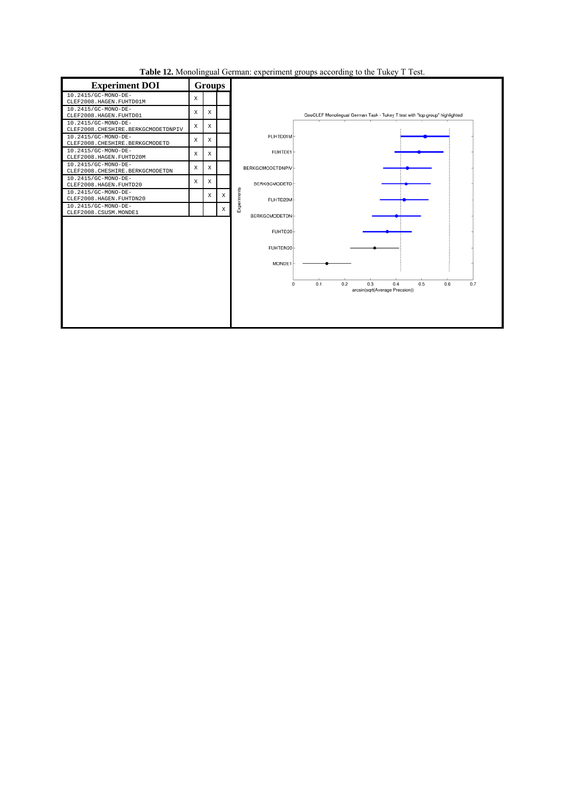**Table 12.** Monolingual German: experiment groups according to the Tukey T Test.

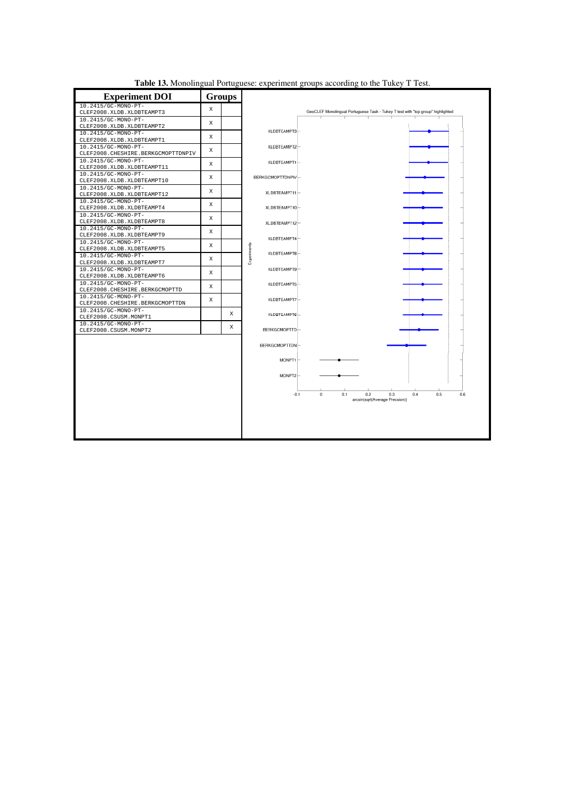| <b>Experiment DOI</b>                                   |   | <b>Groups</b> |                   |                                                                                 |                                |     |            |     |
|---------------------------------------------------------|---|---------------|-------------------|---------------------------------------------------------------------------------|--------------------------------|-----|------------|-----|
| 10.2415/GC-MONO-PT-                                     | X |               |                   |                                                                                 |                                |     |            |     |
| CLEF2008.XLDB.XLDBTEAMPT3                               |   |               |                   | GeoCLEF Monolingual Portuguese Task - Tukey T test with "top group" highlighted |                                |     |            |     |
| 10.2415/GC-MONO-PT-                                     | X |               |                   |                                                                                 |                                |     |            |     |
| CLEF2008.XLDB.XLDBTEAMPT2                               |   |               | XLDBTEAMPT3-      |                                                                                 |                                |     |            |     |
| 10.2415/GC-MONO-PT-<br>CLEF2008.XLDB.XLDBTEAMPT1        | X |               |                   |                                                                                 |                                |     |            |     |
| 10.2415/GC-MONO-PT-                                     |   |               | XLDBTEAMPT2-      |                                                                                 |                                |     |            |     |
| CLEF2008. CHESHIRE. BERKGCMOPTTDNPIV                    | X |               |                   |                                                                                 |                                |     |            |     |
| 10.2415/GC-MONO-PT-                                     |   |               | XLDBTEAMPT1-      |                                                                                 |                                |     |            |     |
| CLEF2008.XLDB.XLDBTEAMPT11                              | X |               |                   |                                                                                 |                                |     |            |     |
| 10.2415/GC-MONO-PT-                                     |   |               |                   |                                                                                 |                                |     |            |     |
| CLEF2008.XLDB.XLDBTEAMPT10                              | X |               | BERKGCMOPTTDNPIV- |                                                                                 |                                |     |            |     |
| 10.2415/GC-MONO-PT-                                     |   |               |                   |                                                                                 |                                |     |            |     |
| CLEF2008.XLDB.XLDBTEAMPT12                              | X |               | XLDBTEAMPT11-     |                                                                                 |                                |     |            |     |
| 10.2415/GC-MONO-PT-                                     |   |               |                   |                                                                                 |                                |     |            |     |
| CLEF2008.XLDB.XLDBTEAMPT4                               | X |               | XLDBTEAMPT10-     |                                                                                 |                                |     |            |     |
| 10.2415/GC-MONO-PT-                                     | X |               |                   |                                                                                 |                                |     |            |     |
| CLEF2008.XLDB.XLDBTEAMPT8                               |   |               | XLDBTEAMPT12-     |                                                                                 |                                |     |            |     |
| 10.2415/GC-MONO-PT-                                     | X |               |                   |                                                                                 |                                |     |            |     |
| CLEF2008.XLDB.XLDBTEAMPT9                               |   |               | XLDBTEAMPT4-      |                                                                                 |                                |     |            |     |
| 10.2415/GC-MONO-PT-                                     | X |               |                   |                                                                                 |                                |     |            |     |
| CLEF2008.XLDB.XLDBTEAMPT5                               |   |               | XLDBTEAMPT8-      |                                                                                 |                                |     |            |     |
| 10.2415/GC-MONO-PT-                                     | X |               | Experiments       |                                                                                 |                                |     |            |     |
| CLEF2008.XLDB.XLDBTEAMPT7                               |   |               |                   |                                                                                 |                                |     |            |     |
| 10.2415/GC-MONO-PT-                                     | X |               | XLDBTEAMPT9-      |                                                                                 |                                |     |            |     |
| CLEF2008.XLDB.XLDBTEAMPT6                               |   |               |                   |                                                                                 |                                |     |            |     |
| 10.2415/GC-MONO-PT-                                     | X |               | XLDBTEAMPT5-      |                                                                                 |                                |     |            |     |
| CLEF2008. CHESHIRE. BERKGCMOPTTD<br>10.2415/GC-MONO-PT- |   |               |                   |                                                                                 |                                |     |            |     |
| CLEF2008. CHESHIRE. BERKGCMOPTTDN                       | X |               | XLDBTEAMPT7-      |                                                                                 |                                |     |            |     |
| 10.2415/GC-MONO-PT-                                     |   |               |                   |                                                                                 |                                |     |            |     |
| CLEF2008.CSUSM.MONPT1                                   |   | X             | XLDBTEAMPT6-      |                                                                                 |                                |     |            |     |
| 10.2415/GC-MONO-PT-                                     |   |               |                   |                                                                                 |                                |     |            |     |
| CLEF2008.CSUSM.MONPT2                                   |   | X             | BERKGCMOPTTD-     |                                                                                 |                                |     |            |     |
|                                                         |   |               |                   |                                                                                 |                                |     |            |     |
|                                                         |   |               | BERKGCMOPTTDN-    |                                                                                 |                                |     |            |     |
|                                                         |   |               |                   |                                                                                 |                                |     |            |     |
|                                                         |   |               | $MONPT1$ $-$      |                                                                                 |                                |     |            |     |
|                                                         |   |               |                   |                                                                                 |                                |     |            |     |
|                                                         |   |               |                   |                                                                                 |                                |     |            |     |
|                                                         |   |               | MONPT2-           |                                                                                 |                                |     |            |     |
|                                                         |   |               |                   |                                                                                 |                                |     |            |     |
|                                                         |   |               | $-0.1$            | 0.1<br>$\Omega$                                                                 | 0.2                            | 0.3 | 0.5<br>0.4 | 0.6 |
|                                                         |   |               |                   |                                                                                 | arcsin(sqrt(Average Precsion)) |     |            |     |
|                                                         |   |               |                   |                                                                                 |                                |     |            |     |
|                                                         |   |               |                   |                                                                                 |                                |     |            |     |
|                                                         |   |               |                   |                                                                                 |                                |     |            |     |
|                                                         |   |               |                   |                                                                                 |                                |     |            |     |
|                                                         |   |               |                   |                                                                                 |                                |     |            |     |
|                                                         |   |               |                   |                                                                                 |                                |     |            |     |

**Table 13.** Monolingual Portuguese: experiment groups according to the Tukey T Test.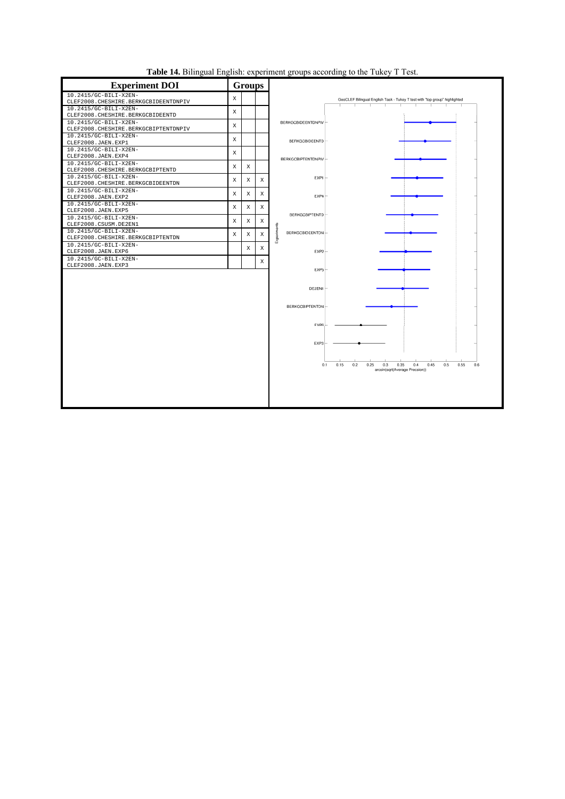

**Table 14.** Bilingual English: experiment groups according to the Tukey T Test.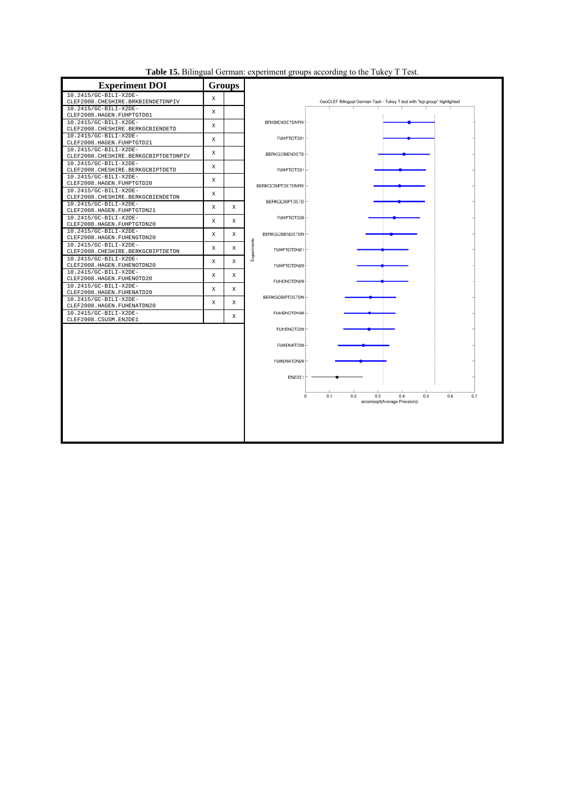| Table 15. Bilingual German: experiment groups according to the Tukey T Test. |  |  |  |
|------------------------------------------------------------------------------|--|--|--|
|                                                                              |  |  |  |

| <b>Experiment DOI</b>                                           |             | <b>Groups</b> |                     |                                                                                 |
|-----------------------------------------------------------------|-------------|---------------|---------------------|---------------------------------------------------------------------------------|
| 10.2415/GC-BILI-X2DE-                                           | X           |               |                     |                                                                                 |
| CLEF2008. CHESHIRE. BRKBIENDETDNPIV                             |             |               |                     | GeoCLEF Bilingual German Task - Tukey T test with "top group" highlighted       |
| 10.2415/GC-BILI-X2DE-                                           | X           |               |                     |                                                                                 |
| CLEF2008.HAGEN.FUHPTGTD01                                       |             |               |                     |                                                                                 |
| 10.2415/GC-BILI-X2DE-                                           | X           |               | BRKBIENDETDNPIV-    |                                                                                 |
| CLEF2008. CHESHIRE. BERKGCBIENDETD                              |             |               |                     |                                                                                 |
| 10.2415/GC-BILI-X2DE-                                           | X           |               | FUHPTGTD01          |                                                                                 |
| CLEF2008.HAGEN.FUHPTGTD21                                       |             |               |                     |                                                                                 |
| 10.2415/GC-BILI-X2DE-<br>CLEF2008. CHESHIRE. BERKGCBIPTDETDNPIV | X           |               | BERKGCBIENDETD-     |                                                                                 |
| 10.2415/GC-BILI-X2DE-                                           |             |               |                     |                                                                                 |
| CLEF2008. CHESHIRE. BERKGCBIPTDETD                              | $\mathbf X$ |               | FUHPTGTD21          |                                                                                 |
| 10.2415/GC-BILI-X2DE-                                           |             |               |                     |                                                                                 |
| CLEF2008.HAGEN.FUHPTGTD20                                       | X           |               |                     |                                                                                 |
| 10.2415/GC-BILI-X2DE-                                           |             |               | BERKGCBIPTDETDNPIV- |                                                                                 |
| CLEF2008. CHESHIRE. BERKGCBIENDETDN                             | X           |               |                     |                                                                                 |
| 10.2415/GC-BILI-X2DE-                                           |             |               | BERKGCBIPTDETD-     |                                                                                 |
| CLEF2008.HAGEN.FUHPTGTDN21                                      | X           | X             |                     |                                                                                 |
| 10.2415/GC-BILI-X2DE-                                           |             |               | FUHPTGTD20-         |                                                                                 |
| CLEF2008.HAGEN.FUHPTGTDN20                                      | X           | X             |                     |                                                                                 |
| 10.2415/GC-BILI-X2DE-                                           |             |               |                     |                                                                                 |
| CLEF2008.HAGEN.FUHENGTDN20                                      | X           | Χ             | BERKGCBIENDETDN-    |                                                                                 |
| 10.2415/GC-BILI-X2DE-                                           |             |               | Experiments         |                                                                                 |
| CLEF2008. CHESHIRE. BERKGCBIPTDETDN                             | X           | Χ             | FUHPTGTDN21         |                                                                                 |
| 10.2415/GC-BILI-X2DE-                                           |             |               |                     |                                                                                 |
| CLEF2008.HAGEN.FUHENOTDN20                                      | X           | X             | FUHPTGTDN20         |                                                                                 |
| 10.2415/GC-BILI-X2DE-                                           |             |               |                     |                                                                                 |
| CLEF2008.HAGEN.FUHENOTD20                                       | X           | X             | FUHENGTDN20         |                                                                                 |
| 10.2415/GC-BILI-X2DE-                                           | X           | Χ             |                     |                                                                                 |
| CLEF2008.HAGEN.FUHENATD20                                       |             |               |                     |                                                                                 |
| 10.2415/GC-BILI-X2DE-                                           | X           | X             | BERKGCBIPTDETDN-    |                                                                                 |
| CLEF2008.HAGEN.FUHENATDN20                                      |             |               |                     |                                                                                 |
| 10.2415/GC-BILI-X2DE-                                           |             | X             | FUHENOTDN20-        |                                                                                 |
| CLEF2008.CSUSM.EN2DE1                                           |             |               |                     |                                                                                 |
|                                                                 |             |               | FUHENOTD20          |                                                                                 |
|                                                                 |             |               |                     |                                                                                 |
|                                                                 |             |               | FUHENATD20          |                                                                                 |
|                                                                 |             |               |                     |                                                                                 |
|                                                                 |             |               |                     |                                                                                 |
|                                                                 |             |               | FUHENATDN20         |                                                                                 |
|                                                                 |             |               |                     |                                                                                 |
|                                                                 |             |               | EN2DE1              |                                                                                 |
|                                                                 |             |               |                     |                                                                                 |
|                                                                 |             |               |                     |                                                                                 |
|                                                                 |             |               | $\bf{0}$            | 0.2<br>0.1<br>0.3<br>0.4<br>0.5<br>0.6<br>0.7<br>arcsin(sqrt(Average Precsion)) |
|                                                                 |             |               |                     |                                                                                 |
|                                                                 |             |               |                     |                                                                                 |
|                                                                 |             |               |                     |                                                                                 |
|                                                                 |             |               |                     |                                                                                 |
|                                                                 |             |               |                     |                                                                                 |
|                                                                 |             |               |                     |                                                                                 |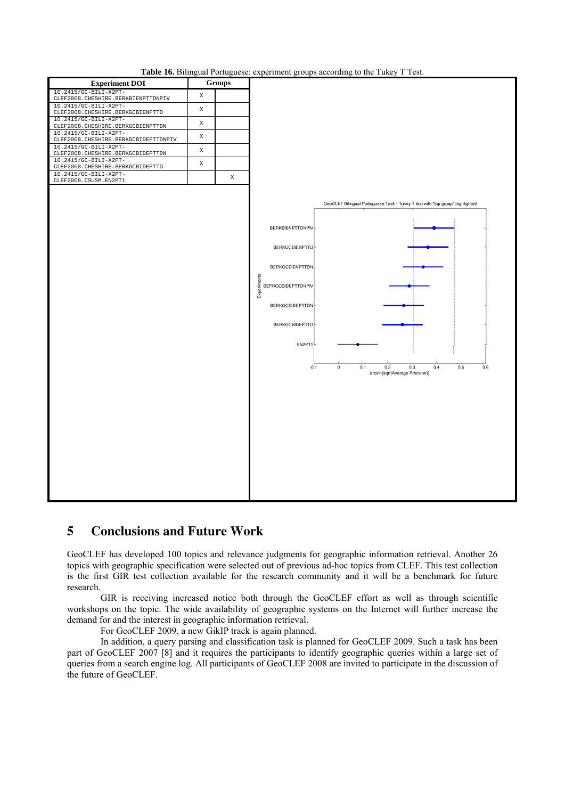

**Table 16.** Bilingual Portuguese: experiment groups according to the Tukey T Test.

### **5 Conclusions and Future Work**

GeoCLEF has developed 100 topics and relevance judgments for geographic information retrieval. Another 26 topics with geographic specification were selected out of previous ad-hoc topics from CLEF. This test collection is the first GIR test collection available for the research community and it will be a benchmark for future research.

GIR is receiving increased notice both through the GeoCLEF effort as well as through scientific workshops on the topic. The wide availability of geographic systems on the Internet will further increase the demand for and the interest in geographic information retrieval.

For GeoCLEF 2009, a new GikIP track is again planned.

In addition, a query parsing and classification task is planned for GeoCLEF 2009. Such a task has been part of GeoCLEF 2007 [8] and it requires the participants to identify geographic queries within a large set of queries from a search engine log. All participants of GeoCLEF 2008 are invited to participate in the discussion of the future of GeoCLEF.